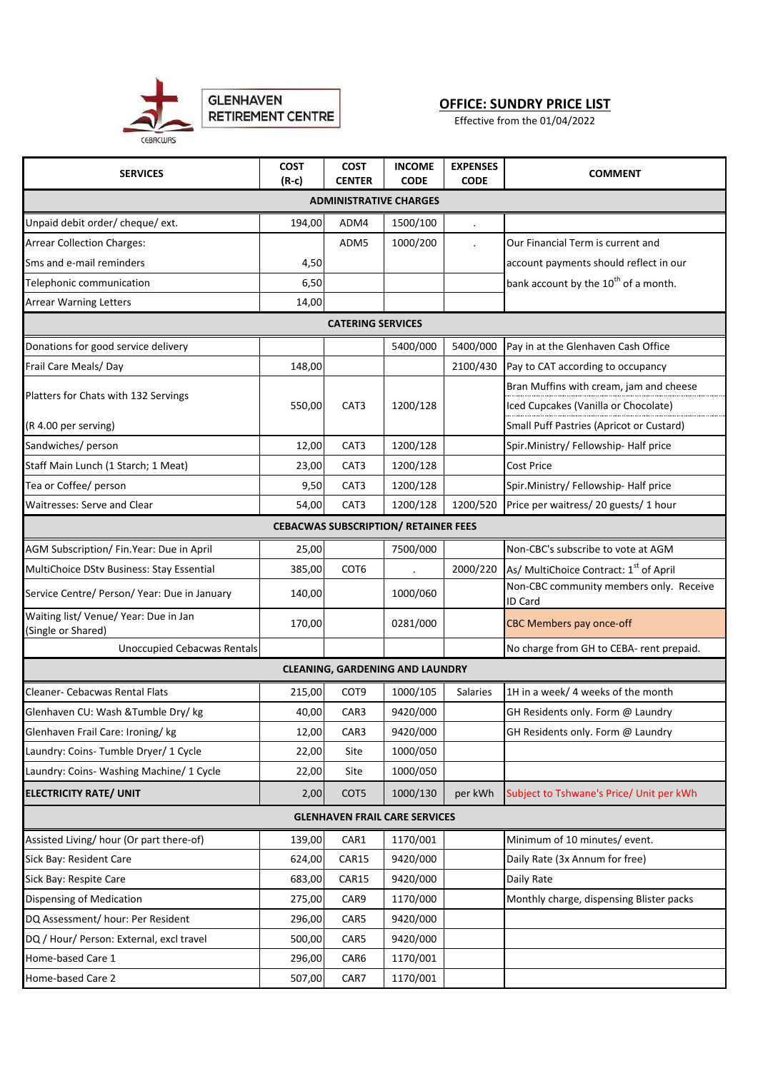

## **OFFICE: SUNDRY PRICE LIST**

Effective from the 01/04/2022

| <b>SERVICES</b>                                                    | <b>COST</b><br>$(R-c)$ | <b>COST</b><br><b>CENTER</b> | <b>INCOME</b><br><b>CODE</b> | <b>EXPENSES</b><br><b>CODE</b> | <b>COMMENT</b>                                            |  |  |  |  |
|--------------------------------------------------------------------|------------------------|------------------------------|------------------------------|--------------------------------|-----------------------------------------------------------|--|--|--|--|
| <b>ADMINISTRATIVE CHARGES</b>                                      |                        |                              |                              |                                |                                                           |  |  |  |  |
| Unpaid debit order/ cheque/ ext.                                   | 194,00                 | ADM4                         | 1500/100                     | $\ddot{\phantom{0}}$           |                                                           |  |  |  |  |
| <b>Arrear Collection Charges:</b>                                  |                        | ADM5                         | 1000/200                     |                                | Our Financial Term is current and                         |  |  |  |  |
| Sms and e-mail reminders                                           | 4,50                   |                              |                              |                                | account payments should reflect in our                    |  |  |  |  |
| Telephonic communication                                           | 6,50                   |                              |                              |                                | bank account by the 10 <sup>th</sup> of a month.          |  |  |  |  |
|                                                                    |                        |                              |                              |                                |                                                           |  |  |  |  |
| <b>Arrear Warning Letters</b><br>14,00<br><b>CATERING SERVICES</b> |                        |                              |                              |                                |                                                           |  |  |  |  |
|                                                                    |                        |                              |                              |                                |                                                           |  |  |  |  |
| Donations for good service delivery                                |                        |                              | 5400/000                     | 5400/000                       | Pay in at the Glenhaven Cash Office                       |  |  |  |  |
| Frail Care Meals/Day                                               | 148,00                 |                              |                              | 2100/430                       | Pay to CAT according to occupancy                         |  |  |  |  |
| Platters for Chats with 132 Servings                               |                        |                              |                              |                                | Bran Muffins with cream, jam and cheese                   |  |  |  |  |
|                                                                    | 550,00                 | CAT <sub>3</sub>             | 1200/128                     |                                | Iced Cupcakes (Vanilla or Chocolate)                      |  |  |  |  |
| (R 4.00 per serving)                                               |                        |                              |                              |                                | <b>Small Puff Pastries (Apricot or Custard)</b>           |  |  |  |  |
| Sandwiches/ person                                                 | 12,00                  | CAT3                         | 1200/128                     |                                | Spir.Ministry/Fellowship-Half price                       |  |  |  |  |
| Staff Main Lunch (1 Starch; 1 Meat)                                | 23,00                  | CAT3                         | 1200/128                     |                                | Cost Price                                                |  |  |  |  |
| Tea or Coffee/ person                                              | 9,50                   | CAT <sub>3</sub>             | 1200/128                     |                                | Spir.Ministry/Fellowship-Half price                       |  |  |  |  |
| Waitresses: Serve and Clear                                        | 54,00                  | CAT <sub>3</sub>             | 1200/128                     | 1200/520                       | Price per waitress/ 20 guests/ 1 hour                     |  |  |  |  |
| <b>CEBACWAS SUBSCRIPTION/ RETAINER FEES</b>                        |                        |                              |                              |                                |                                                           |  |  |  |  |
| AGM Subscription/ Fin. Year: Due in April                          | 25,00                  |                              | 7500/000                     |                                | Non-CBC's subscribe to vote at AGM                        |  |  |  |  |
| MultiChoice DStv Business: Stay Essential                          | 385,00                 | COT6                         |                              | 2000/220                       | As/ MultiChoice Contract: 1 <sup>st</sup> of April        |  |  |  |  |
| Service Centre/ Person/ Year: Due in January                       | 140,00                 |                              | 1000/060                     |                                | Non-CBC community members only. Receive<br><b>ID Card</b> |  |  |  |  |
| Waiting list/ Venue/ Year: Due in Jan<br>(Single or Shared)        | 170,00                 |                              | 0281/000                     |                                | CBC Members pay once-off                                  |  |  |  |  |
| <b>Unoccupied Cebacwas Rentals</b>                                 |                        |                              |                              |                                | No charge from GH to CEBA- rent prepaid.                  |  |  |  |  |
| <b>CLEANING, GARDENING AND LAUNDRY</b>                             |                        |                              |                              |                                |                                                           |  |  |  |  |
| Cleaner- Cebacwas Rental Flats                                     | 215,00                 | COT <sub>9</sub>             | 1000/105                     | Salaries                       | 1H in a week/ 4 weeks of the month                        |  |  |  |  |
| Glenhaven CU: Wash & Tumble Dry/ kg                                | 40,00                  | CAR3                         | 9420/000                     |                                | GH Residents only. Form @ Laundry                         |  |  |  |  |
| Glenhaven Frail Care: Ironing/ kg                                  | 12,00                  | CAR3                         | 9420/000                     |                                | GH Residents only. Form @ Laundry                         |  |  |  |  |
| Laundry: Coins- Tumble Dryer/ 1 Cycle                              | 22,00                  | Site                         | 1000/050                     |                                |                                                           |  |  |  |  |
| Laundry: Coins- Washing Machine/ 1 Cycle                           | 22,00                  | Site                         | 1000/050                     |                                |                                                           |  |  |  |  |
| <b>ELECTRICITY RATE/ UNIT</b>                                      | 2,00                   | COT5                         | 1000/130                     | per kWh                        | Subject to Tshwane's Price/ Unit per kWh                  |  |  |  |  |
| <b>GLENHAVEN FRAIL CARE SERVICES</b>                               |                        |                              |                              |                                |                                                           |  |  |  |  |
| Assisted Living/hour (Or part there-of)                            | 139,00                 | CAR1                         | 1170/001                     |                                | Minimum of 10 minutes/ event.                             |  |  |  |  |
| Sick Bay: Resident Care                                            | 624,00                 | CAR15                        | 9420/000                     |                                | Daily Rate (3x Annum for free)                            |  |  |  |  |
| Sick Bay: Respite Care                                             | 683,00                 | CAR15                        | 9420/000                     |                                | Daily Rate                                                |  |  |  |  |
| Dispensing of Medication                                           | 275,00                 | CAR9                         | 1170/000                     |                                | Monthly charge, dispensing Blister packs                  |  |  |  |  |
| DQ Assessment/ hour: Per Resident                                  | 296,00                 | CAR5                         | 9420/000                     |                                |                                                           |  |  |  |  |
| DQ / Hour/ Person: External, excl travel                           | 500,00                 | CAR5                         | 9420/000                     |                                |                                                           |  |  |  |  |
| Home-based Care 1                                                  | 296,00                 | CAR6                         | 1170/001                     |                                |                                                           |  |  |  |  |
| Home-based Care 2                                                  | 507,00                 | CAR7                         | 1170/001                     |                                |                                                           |  |  |  |  |